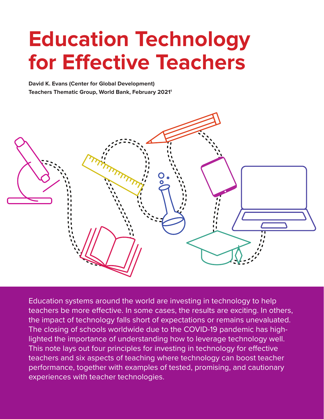# <span id="page-0-0"></span>**Education Technology for Effective Teachers**

**David K. Evans (Center for Global Development) Teachers Thematic Group, World Bank, February 202[11](#page-6-0)**



Education systems around the world are investing in technology to help teachers be more effective. In some cases, the results are exciting. In others, the impact of technology falls short of expectations or remains unevaluated. The closing of schools worldwide due to the COVID-19 pandemic has highlighted the importance of understanding how to leverage technology well. This note lays out four principles for investing in technology for effective teachers and six aspects of teaching where technology can boost teacher performance, together with examples of tested, promising, and cautionary experiences with teacher technologies.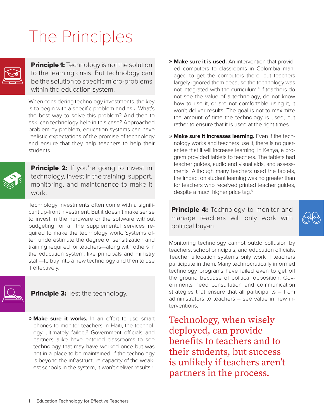## The Principles



**Principle 1:** Technology is not the solution to the learning crisis. But technology can be the solution to specific micro-problems within the education system.

When considering technology investments, the key is to begin with a specific problem and ask, What's the best way to solve this problem? And then to ask, can technology help in this case? Approached problem-by-problem, education systems can have realistic expectations of the promise of technology and ensure that they help teachers to help their students.



**Principle 2:** If you're going to invest in technology, invest in the training, support, monitoring, and maintenance to make it work.

Technology investments often come with a significant up-front investment. But it doesn't make sense to invest in the hardware or the software without budgeting for all the supplemental services required to make the technology work. Systems often underestimate the degree of sensitization and training required for teachers—along with others in the education system, like principals and ministry staff—to buy into a new technology and then to use it effectively.



**Principle 3:** Test the technology.

» **Make sure it works.** In an effort to use smart phones to monitor teachers in Haiti, the technol-ogy ultimately failed.<sup>[2](#page-6-0)</sup> Government officials and partners alike have entered classrooms to see technology that may have worked once but was not in a place to be maintained. If the technology is beyond the infrastructure capacity of the weak-est schools in the system, it won't deliver results.<sup>[3](#page-6-0)</sup>

- » **Make sure it is used.** An intervention that provided computers to classrooms in Colombia managed to get the computers there, but teachers largely ignored them because the technology was not integrated with the curriculum.<sup>4</sup> If teachers do not see the value of a technology, do not know how to use it, or are not comfortable using it, it won't deliver results. The goal is not to maximize the amount of time the technology is used, but rather to ensure that it is used at the right times.
- » **Make sure it increases learning.** Even if the technology works and teachers use it, there is no guarantee that it will increase learning. In Kenya, a program provided tablets to teachers. The tablets had teacher guides, audio and visual aids, and assessments. Although many teachers used the tablets, the impact on student learning was no greater than for teachers who received printed teacher guides, despite a much higher price tag.<sup>5</sup>

**Principle 4:** Technology to monitor and manage teachers will only work with political buy-in.

Monitoring technology cannot outdo collusion by teachers, school principals, and education officials. Teacher allocation systems only work if teachers participate in them. Many technocratically informed technology programs have failed even to get off the ground because of political opposition. Governments need consultation and communication strategies that ensure that all participants – from administrators to teachers – see value in new interventions.

Technology, when wisely deployed, can provide benefits to teachers and to their students, but success is unlikely if teachers aren't partners in the process.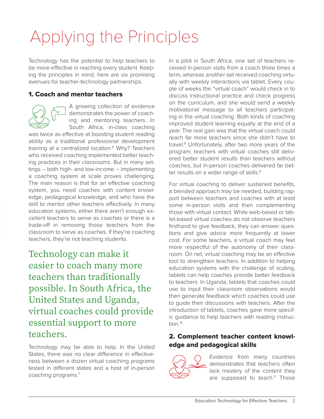# <span id="page-2-0"></span>Applying the Principles

Technology has the potential to help teachers to be more effective in reaching every student. Keeping the principles in mind, here are six promising avenues for teacher-technology partnerships.

#### 1. Coach and mentor teachers



A growing collection of evidence demonstrates the power of coaching and mentoring teachers. In South Africa, in-class coaching

was twice as effective at boosting student reading ability as a traditional professional development training at a centralized location.<sup>6</sup> Why? Teachers who received coaching implemented better teaching practices in their classrooms. But in many settings ― both high- and low-income ― implementing a coaching system at scale proves challenging. The main reason is that for an effective coaching system, you need coaches with content knowledge, pedagogical knowledge, and who have the skill to mentor other teachers effectively. In many education systems, either there aren't enough excellent teachers to serve as coaches or there is a trade-off in removing those teachers from the classroom to serve as coaches. If they're coaching teachers, they're not teaching students.

Technology can make it easier to coach many more teachers than traditionally possible. In South Africa, the United States and Uganda, virtual coaches could provide essential support to more teachers.

Technology may be able to help. In the United States, there was no clear difference in effectiveness between a dozen virtual coaching programs tested in different states and a host of in-person coaching programs.[7](#page-6-0)

In a pilot in South Africa, one set of teachers received in-person visits from a coach three times a term, whereas another set received coaching virtually with weekly interactions via tablet. Every couple of weeks the "virtual coach" would check in to discuss instructional practice and check progress on the curriculum, and she would send a weekly motivational message to all teachers participating in the virtual coaching. Both kinds of coaching improved student learning equally at the end of a year. The real gain was that the virtual coach could reach far more teachers since she didn't have to travel[.8](#page-6-0) Unfortunately, after two more years of the program, teachers with virtual coaches still delivered better student results than teachers without coaches, but in-person coaches delivered far bet-ter results on a wider range of skills.<sup>[9](#page-6-0)</sup>

For virtual coaching to deliver sustained benefits, a blended approach may be needed, building rapport between teachers and coaches with at least some in-person visits and then complementing those with virtual contact. While web-based or tablet-based virtual coaches do not observe teachers firsthand to give feedback, they can answer questions and give advice more frequently at lower cost. For some teachers, a virtual coach may feel more respectful of the autonomy of their classroom. On net, virtual coaching may be an effective tool to strengthen teachers. In addition to helping education systems with the challenge of scaling, tablets can help coaches provide better feedback to teachers: In Uganda, tablets that coaches could use to input their classroom observations would then generate feedback which coaches could use to guide their discussions with teachers. After the introduction of tablets, coaches gave more specific guidance to help teachers with reading instruc-tion.<sup>[10](#page-6-0)</sup>

#### 2. Complement teacher content knowledge and pedagogical skills



Evidence from many countries demonstrates that teachers often lack mastery of the content they are supposed to teach. $11$  These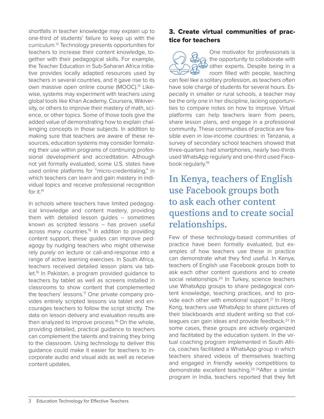<span id="page-3-0"></span>shortfalls in teacher knowledge may explain up to one-third of students' failure to keep up with the curriculum[.12](#page-6-0) Technology presents opportunities for teachers to increase their content knowledge, together with their pedagogical skills. For example, the Teacher Education in Sub-Saharan Africa initiative provides locally adapted resources used by teachers in several countries, and it gave rise to its own massive open online course (MOOC).<sup>[13](#page-6-0)</sup> Likewise, systems may experiment with teachers using global tools like Khan Academy, Coursera, Wikiversity, or others to improve their mastery of math, science, or other topics. Some of those tools give the added value of demonstrating how to explain challenging concepts in those subjects. In addition to making sure that teachers are aware of these resources, education systems may consider formalizing their use within programs of continuing professional development and accreditation. Although not yet formally evaluated, some U.S. states have used online platforms for "micro-credentialing," in which teachers can learn and gain mastery in individual topics and receive professional recognition for it  $14$ 

In schools where teachers have limited pedagogical knowledge and content mastery, providing them with detailed lesson guides – sometimes known as scripted lessons – has proven useful across many countries.<sup>[15](#page-6-0)</sup> In addition to providing content support, these guides can improve pedagogy by nudging teachers who might otherwise rely purely on lecture or call-and-response into a range of active learning exercises. In South Africa, teachers received detailed lesson plans via tablet.<sup>16</sup> In Pakistan, a program provided guidance to teachers by tablet as well as screens installed in classrooms to show content that complemented the teachers' lessons.<sup>17</sup> One private company provides entirely scripted lessons via tablet and encourages teachers to follow the script strictly. The data on lesson delivery and evaluation results are then analyzed to improve process.<sup>[18](#page-6-0)</sup> On the whole, providing detailed, practical guidance to teachers can complement the talents and training they bring to the classroom. Using technology to deliver this guidance could make it easier for teachers to incorporate audio and visual aids as well as receive content updates.

#### 3. Create virtual communities of practice for teachers

One motivator for professionals is the opportunity to collaborate with other experts. Despite being in a room filled with people, teaching can feel like a solitary profession, as teachers often have sole charge of students for several hours. Especially in smaller or rural schools, a teacher may be the only one in her discipline, lacking opportunities to compare notes on how to improve. Virtual platforms can help teachers learn from peers, share lesson plans, and engage in a professional community. These communities of practice are feasible even in low-income countries: in Tanzania, a survey of secondary school teachers showed that three-quarters had smartphones, nearly two-thirds used WhatsApp regularly and one-third used Face-book regularly.<sup>[19](#page-6-0)</sup>

## In Kenya, teachers of English use Facebook groups both to ask each other content questions and to create social relationships.

Few of these technology-based communities of practice have been formally evaluated, but examples of how teachers use these in practice can demonstrate what they find useful. In Kenya, teachers of English use Facebook groups both to ask each other content questions and to create social relationships.<sup>20</sup> In Turkey, science teachers use WhatsApp groups to share pedagogical content knowledge, teaching practices, and to pro-vide each other with emotional support.<sup>[21](#page-6-0)</sup> In Hong Kong, teachers use WhatsApp to share pictures of their blackboards and student writing so that colleagues can gain ideas and provide feedback.<sup>22</sup> In some cases, these groups are actively organized and facilitated by the education system. In the virtual coaching program implemented in South Africa, coaches facilitated a WhatsApp group in which teachers shared videos of themselves teaching and engaged in friendly weekly competitions to demonstrate excellent teaching[.23](#page-7-0) 24After a similar program in India, teachers reported that they felt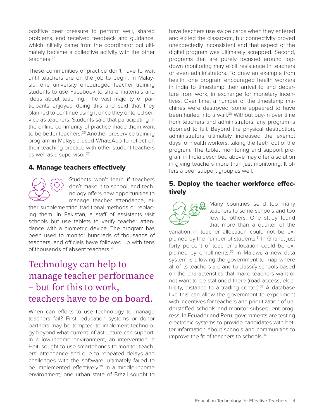positive peer pressure to perform well, shared problems, and received feedback and guidance, which initially came from the coordinator but ultimately became a collective activity with the other teachers.[25](#page-7-0)

These communities of practice don't have to wait until teachers are on the job to begin. In Malaysia, one university encouraged teacher training students to use Facebook to share materials and ideas about teaching. The vast majority of participants enjoyed doing this and said that they planned to continue using it once they entered service as teachers. Students said that participating in the online community of practice made them want to be better teachers.<sup>[26](#page-7-0)</sup> Another preservice training program in Malaysia used WhatsApp to reflect on their teaching practice with other student teachers as well as a supervisor.<sup>27</sup>

#### 4. Manage teachers effectively



Students won't learn if teachers don't make it to school, and technology offers new opportunities to manage teacher attendance, ei-

ther supplementing traditional methods or replacing them. In Pakistan, a staff of assistants visit schools but use tablets to verify teacher attendance with a biometric device. The program has been used to monitor hundreds of thousands of teachers, and officials have followed up with tens of thousands of absent teachers.<sup>[28](#page-7-0)</sup>

### Technology can help to manage teacher performance – but for this to work, teachers have to be on board.

When can efforts to use technology to manage teachers fail? First, education systems or donor partners may be tempted to implement technology beyond what current infrastructure can support. In a low-income environment, an intervention in Haiti sought to use smartphones to monitor teachers' attendance and due to repeated delays and challenges with the software, ultimately failed to be implemented effectively.<sup>29</sup> In a middle-income environment, one urban state of Brazil sought to

have teachers use swipe cards when they entered and exited the classroom, but connectivity proved unexpectedly inconsistent and that aspect of the digital program was ultimately scrapped. Second, programs that are purely focused around topdown monitoring may elicit resistance in teachers or even administrators. To draw an example from health, one program encouraged health workers in India to timestamp their arrival to and departure from work, in exchange for monetary incentives. Over time, a number of the timestamp machines were destroyed; some appeared to have been hurled into a wall.<sup>30</sup> Without buy-in over time from teachers and administrators, any program is doomed to fail. Beyond the physical destruction, administrators ultimately increased the exempt days for health workers, taking the teeth out of the program. The tablet monitoring and support program in India described above may offer a solution in giving teachers more than just monitoring: It offers a peer support group as well.

#### 5. Deploy the teacher workforce effectively



Many countries send too many teachers to some schools and too few to others. One study found that more than a quarter of the

variation in teacher allocation could not be explained by the number of students.<sup>31</sup> In Ghana, just forty percent of teacher allocation could be explained by enrollments.<sup>32</sup> In Malawi, a new data system is allowing the government to map where all of its teachers are and to classify schools based on the characteristics that make teachers want or not want to be stationed there (road access, electricity, distance to a trading center).<sup>33</sup> A database like this can allow the government to experiment with incentives for teachers and prioritization of understaffed schools and monitor subsequent progress. In Ecuador and Peru, governments are testing electronic systems to provide candidates with better information about schools and communities to improve the fit of teachers to schools.<sup>34</sup>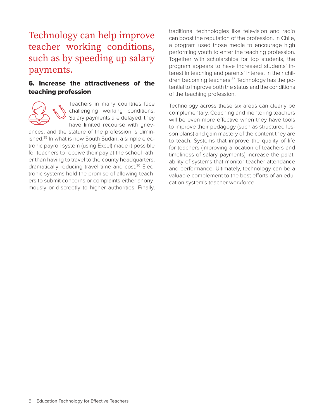### Technology can help improve teacher working conditions, such as by speeding up salary payments.

#### 6. Increase the attractiveness of the teaching profession



Teachers in many countries face challenging working conditions. Salary payments are delayed, they have limited recourse with griev-

ances, and the stature of the profession is diminished.<sup>35</sup> In what is now South Sudan, a simple electronic payroll system (using Excel) made it possible for teachers to receive their pay at the school rather than having to travel to the county headquarters, dramatically reducing travel time and cost.<sup>[36](#page-7-0)</sup> Electronic systems hold the promise of allowing teachers to submit concerns or complaints either anonymously or discreetly to higher authorities. Finally,

traditional technologies like television and radio can boost the reputation of the profession. In Chile, a program used those media to encourage high performing youth to enter the teaching profession. Together with scholarships for top students, the program appears to have increased students' interest in teaching and parents' interest in their children becoming teachers.<sup>37</sup> Technology has the potential to improve both the status and the conditions of the teaching profession.

Technology across these six areas can clearly be complementary. Coaching and mentoring teachers will be even more effective when they have tools to improve their pedagogy (such as structured lesson plans) and gain mastery of the content they are to teach. Systems that improve the quality of life for teachers (improving allocation of teachers and timeliness of salary payments) increase the palatability of systems that monitor teacher attendance and performance. Ultimately, technology can be a valuable complement to the best efforts of an education system's teacher workforce.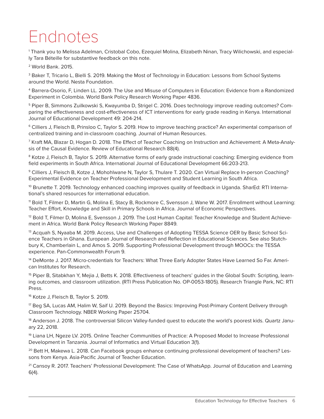## <span id="page-6-0"></span>Endnotes

[1](#page-0-0) Thank you to Melissa Adelman, Cristobal Cobo, Ezequiel Molina, Elizabeth Ninan, Tracy Wilichowski, and especially Tara Béteille for substantive feedback on this note.

2 World Bank. 2015.

<sup>3</sup> Baker T, Tricario L, Bielli S. 2019. Making the Most of Technology in Education: Lessons from School Systems around the World. Nesta Foundation.

4 Barrera-Osorio, F, Linden LL. 2009. The Use and Misuse of Computers in Education: Evidence from a Randomized Experiment in Colombia. World Bank Policy Research Working Paper 4836.

5 Piper B, Simmons Zuilkowski S, Kwayumba D, Strigel C. 2016. Does technology improve reading outcomes? Comparing the effectiveness and cost-effectiveness of ICT interventions for early grade reading in Kenya. International Journal of Educational Development 49: 204-214.

6 Cilliers J, Fleisch B, Prinsloo C, Taylor S. 2019. How to improve teaching practice? An experimental comparison of centralized training and in-classroom coaching. Journal of Human Resources.

[7](#page-2-0) Kraft MA, Blazar D, Hogan D. 2018. The Effect of Teacher Coaching on Instruction and Achievement: A Meta-Analysis of the Causal Evidence. Review of Educational Research 88(4).

<sup>8</sup> Kotze J, Fleisch B, Taylor S. 2019. Alternative forms of early grade instructional coaching: Emerging evidence from field experiments in South Africa. International Journal of Educational Development 66:203-213.

[9](#page-2-0) Cilliers J, Fleisch B, Kotze J, Mohohlwane N, Taylor S, Thulare T. 2020. Can Virtual Replace In-person Coaching? Experimental Evidence on Teacher Professional Development and Student Learning in South Africa.

<sup>10</sup> Brunette T. 2019. Technology enhanced coaching improves quality of feedback in Uganda. SharEd: RTI International's shared resources for international education.

11 Bold T, Filmer D, Martin G, Molina E, Stacy B, Rockmore C, Svensson J, Wane W. 2017. Enrollment without Learning: Teacher Effort, Knowledge and Skill in Primary Schools in Africa. Journal of Economic Perspectives.

<sup>12</sup> Bold T, Filmer D, Molina E, Svensson J. 2019. The Lost Human Capital: Teacher Knowledge and Student Achievement in Africa. World Bank Policy Research Working Paper 8849.

<sup>13</sup> Acquah S, Nyaaba M. 2019. Access, Use and Challenges of Adopting TESSA Science OER by Basic School Science Teachers in Ghana. European Journal of Research and Reflection in Educational Sciences. See also Stutchbury K, Chamberlain L, and Amos S. 2019. Supporting Professional Development through MOOCs: the TESSA experience. Pan-Commonwealth Forum 9.

<sup>14</sup> DeMonte J. 2017. Micro-credentials for Teachers: What Three Early Adopter States Have Learned So Far. American Institutes for Research.

<sup>15</sup> Piper B, Sitabkhan Y, Mejia J, Betts K. 2018. Effectiveness of teachers' guides in the Global South: Scripting, learning outcomes, and classroom utilization. (RTI Press Publication No. OP-0053-1805). Research Triangle Park, NC: RTI Press.

16 Kotze J, Fleisch B, Taylor S. 2019.

17 Beg SA, Lucas AM, Halim W, Saif U. 2019. Beyond the Basics: Improving Post-Primary Content Delivery through Classroom Technology. NBER Working Paper 25704.

<sup>18</sup> Anderson J. 2018. The controversial Silicon Valley-funded quest to educate the world's poorest kids. Quartz January 22, 2018.

<sup>19</sup> Liana LH, Ngeze LV. 2015. Online Teacher Communities of Practice: A Proposed Model to Increase Professional Development in Tanzania. Journal of Informatics and Virtual Education 3(1).

<sup>20</sup> Bett H, Makewa L. 2018. Can Facebook groups enhance continuing professional development of teachers? Lessons from Kenya. Asia-Pacific Journal of Teacher Education.

<sup>[21](#page-3-0)</sup> Cansoy R. 2017. Teachers' Professional Development: The Case of WhatsApp. Journal of Education and Learning 6(4).